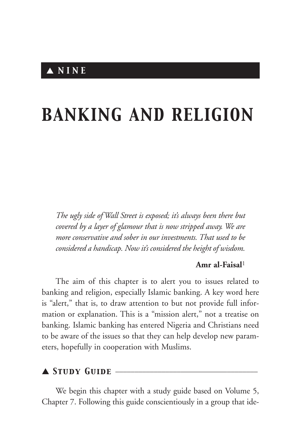# *BANKING AND RELIGION*

*The ugly side of Wall Street is exposed; it's always been there but covered by a layer of glamour that is now stripped away. We are more conservative and sober in our investments. That used to be considered a handicap. Now it's considered the height of wisdom.*

#### **Amr al-Faisal**<sup>1</sup>

The aim of this chapter is to alert you to issues related to banking and religion, especially Islamic banking. A key word here is "alert," that is, to draw attention to but not provide full information or explanation. This is a "mission alert," not a treatise on banking. Islamic banking has entered Nigeria and Christians need to be aware of the issues so that they can help develop new parameters, hopefully in cooperation with Muslims.

## ▲ *Study Guide* \_\_\_\_\_\_\_\_\_\_\_\_\_\_\_\_\_\_\_\_\_\_\_\_\_\_\_\_\_\_\_\_\_\_\_\_\_

We begin this chapter with a study guide based on Volume 5, Chapter 7. Following this guide conscientiously in a group that ide-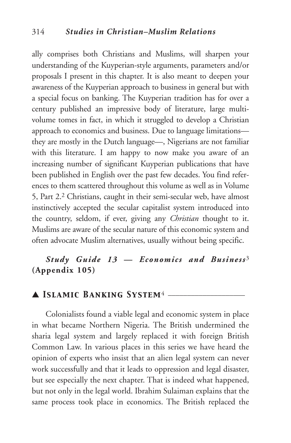ally comprises both Christians and Muslims, will sharpen your understanding of the Kuyperian-style arguments, parameters and/or proposals I present in this chapter. It is also meant to deepen your awareness of the Kuyperian approach to business in general but with a special focus on banking. The Kuyperian tradition has for over a century published an impressive body of literature, large multivolume tomes in fact, in which it struggled to develop a Christian approach to economics and business. Due to language limitations they are mostly in the Dutch language—, Nigerians are not familiar with this literature. I am happy to now make you aware of an increasing number of significant Kuyperian publications that have been published in English over the past few decades. You find references to them scattered throughout this volume as well as in Volume 5, Part 2. <sup>2</sup> Christians, caught in their semi-secular web, have almost instinctively accepted the secular capitalist system introduced into the country, seldom, if ever, giving any *Christian* thought to it. Muslims are aware of the secular nature of this economic system and often advocate Muslim alternatives, usually without being specific.

# *Study Guide 13 — Economics and Business* 3 **(Appendix 105)**

## ▲ *Islamic Banking System*<sup>4</sup> \_\_\_\_\_\_\_\_\_\_\_\_\_\_\_\_\_\_\_\_

Colonialists found a viable legal and economic system in place in what became Northern Nigeria. The British undermined the sharia legal system and largely replaced it with foreign British Common Law. In various places in this series we have heard the opinion of experts who insist that an alien legal system can never work successfully and that it leads to oppression and legal disaster, but see especially the next chapter. That is indeed what happened, but not only in the legal world. Ibrahim Sulaiman explains that the same process took place in economics. The British replaced the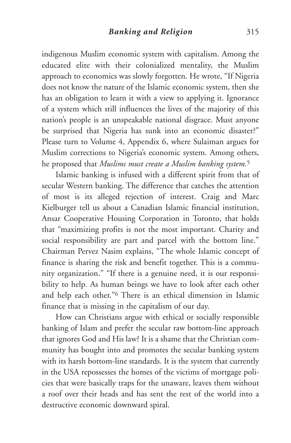indigenous Muslim economic system with capitalism. Among the educated elite with their colonialized mentality, the Muslim approach to economics was slowly forgotten. He wrote, "If Nigeria does not know the nature of the Islamic economic system, then she has an obligation to learn it with a view to applying it. Ignorance of a system which still influences the lives of the majority of this nation's people is an unspeakable national disgrace. Must anyone be surprised that Nigeria has sunk into an economic disaster?" Please turn to Volume 4, Appendix 6, where Sulaiman argues for Muslim corrections to Nigeria's economic system. Among others, he proposed that *Muslims must create a Muslim banking system.*<sup>5</sup>

Islamic banking is infused with a different spirit from that of secular Western banking. The difference that catches the attention of most is its alleged rejection of interest. Craig and Marc Kielburger tell us about a Canadian Islamic financial institution, Ansar Cooperative Housing Corporation in Toronto, that holds that "maximizing profits is not the most important. Charity and social responsibility are part and parcel with the bottom line." Chairman Pervez Nasim explains, "The whole Islamic concept of finance is sharing the risk and benefit together. This is a community organization." "If there is a genuine need, it is our responsibility to help. As human beings we have to look after each other and help each other."6 There is an ethical dimension in Islamic finance that is missing in the capitalism of our day.

How can Christians argue with ethical or socially responsible banking of Islam and prefer the secular raw bottom-line approach that ignores God and His law? It is a shame that the Christian community has bought into and promotes the secular banking system with its harsh bottom-line standards. It is the system that currently in the USA repossesses the homes of the victims of mortgage policies that were basically traps for the unaware, leaves them without a roof over their heads and has sent the rest of the world into a destructive economic downward spiral.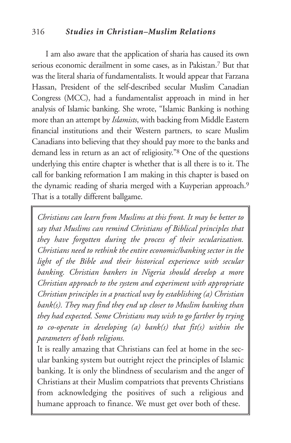#### 316 *Studies in Christian–Muslim Relations*

I am also aware that the application of sharia has caused its own serious economic derailment in some cases, as in Pakistan. <sup>7</sup> But that was the literal sharia of fundamentalists. It would appear that Farzana Hassan, President of the self-described secular Muslim Canadian Congress (MCC), had a fundamentalist approach in mind in her analysis of Islamic banking. She wrote, "Islamic Banking is nothing more than an attempt by *Islamists*, with backing from Middle Eastern financial institutions and their Western partners, to scare Muslim Canadians into believing that they should pay more to the banks and demand less in return as an act of religiosity."8 One of the questions underlying this entire chapter is whether that is all there is to it. The call for banking reformation I am making in this chapter is based on the dynamic reading of sharia merged with a Kuyperian approach. 9 That is a totally different ballgame.

*Christians can learn from Muslims at this front. It may be better to say that Muslims can remind Christians of Biblical principles that they have forgotten during the process of their secularization. Christians need to rethink the entire economic/banking sector in the light of the Bible and their historical experience with secular banking. Christian bankers in Nigeria should develop a more Christian approach to the system and experiment with appropriate Christian principles in a practical way by establishing (a) Christian bank(s). They may find they end up closer to Muslim banking than they had expected. Some Christians may wish to go farther by trying to co-operate in developing (a) bank(s) that fit(s) within the parameters of both religions.*

It is really amazing that Christians can feel at home in the secular banking system but outright reject the principles of Islamic banking. It is only the blindness of secularism and the anger of Christians at their Muslim compatriots that prevents Christians from acknowledging the positives of such a religious and humane approach to finance. We must get over both of these.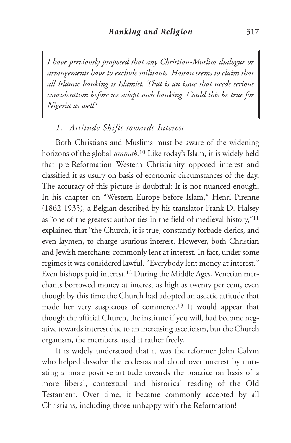*I have previously proposed that any Christian-Muslim dialogue or arrangements have to exclude militants. Hassan seems to claim that all Islamic banking is Islamist. That is an issue that needs serious consideration before we adopt such banking. Could this be true for Nigeria as well?*

## *1. Attitude Shifts towards Interest*

Both Christians and Muslims must be aware of the widening horizons of the global *ummah.* <sup>10</sup> Like today's Islam, it is widely held that pre-Reformation Western Christianity opposed interest and classified it as usury on basis of economic circumstances of the day. The accuracy of this picture is doubtful: It is not nuanced enough. In his chapter on "Western Europe before Islam," Henri Pirenne (1862-1935), a Belgian described by his translator Frank D. Halsey as "one of the greatest authorities in the field of medieval history,"11 explained that "the Church, it is true, constantly forbade clerics, and even laymen, to charge usurious interest. However, both Christian and Jewish merchants commonly lent at interest. In fact, under some regimes it was considered lawful. "Everybody lent money at interest." Even bishops paid interest. <sup>12</sup> During the Middle Ages, Venetian merchants borrowed money at interest as high as twenty per cent, even though by this time the Church had adopted an ascetic attitude that made her very suspicious of commerce.13 It would appear that though the official Church, the institute if you will, had become negative towards interest due to an increasing asceticism, but the Church organism, the members, used it rather freely.

It is widely understood that it was the reformer John Calvin who helped dissolve the ecclesiastical cloud over interest by initiating a more positive attitude towards the practice on basis of a more liberal, contextual and historical reading of the Old Testament. Over time, it became commonly accepted by all Christians, including those unhappy with the Reformation!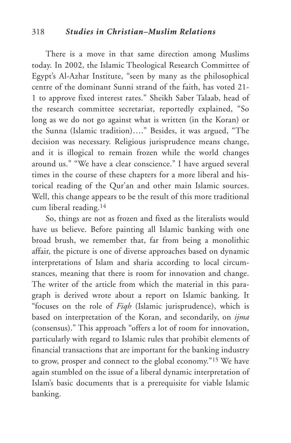There is a move in that same direction among Muslims today. In 2002, the Islamic Theological Research Committee of Egypt's Al-Azhar Institute, "seen by many as the philosophical centre of the dominant Sunni strand of the faith, has voted 21- 1 to approve fixed interest rates." Sheikh Saber Talaab, head of the research committee secretariat, reportedly explained, "So long as we do not go against what is written (in the Koran) or the Sunna (Islamic tradition)…." Besides, it was argued, "The decision was necessary. Religious jurisprudence means change, and it is illogical to remain frozen while the world changes around us." "We have a clear conscience." I have argued several times in the course of these chapters for a more liberal and historical reading of the Qur'an and other main Islamic sources. Well, this change appears to be the result of this more traditional cum liberal reading.14

So, things are not as frozen and fixed as the literalists would have us believe. Before painting all Islamic banking with one broad brush, we remember that, far from being a monolithic affair, the picture is one of diverse approaches based on dynamic interpretations of Islam and sharia according to local circumstances, meaning that there is room for innovation and change. The writer of the article from which the material in this paragraph is derived wrote about a report on Islamic banking. It "focuses on the role of *Fiqh* (Islamic jurisprudence), which is based on interpretation of the Koran, and secondarily, on *ijma* (consensus)." This approach "offers a lot of room for innovation, particularly with regard to Islamic rules that prohibit elements of financial transactions that are important for the banking industry to grow, prosper and connect to the global economy."15 We have again stumbled on the issue of a liberal dynamic interpretation of Islam's basic documents that is a prerequisite for viable Islamic banking.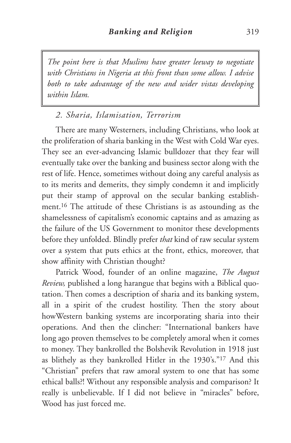*The point here is that Muslims have greater leeway to negotiate with Christians in Nigeria at this front than some allow. I advise both to take advantage of the new and wider vistas developing within Islam.*

## *2. Sharia, Islamisation, Terrorism*

There are many Westerners, including Christians, who look at the proliferation of sharia banking in the West with Cold War eyes. They see an ever-advancing Islamic bulldozer that they fear will eventually take over the banking and business sector along with the rest of life. Hence, sometimes without doing any careful analysis as to its merits and demerits, they simply condemn it and implicitly put their stamp of approval on the secular banking establishment.16 The attitude of these Christians is as astounding as the shamelessness of capitalism's economic captains and as amazing as the failure of the US Government to monitor these developments before they unfolded. Blindly prefer *that* kind of raw secular system over a system that puts ethics at the front, ethics, moreover, that show affinity with Christian thought?

Patrick Wood, founder of an online magazine, *The August Review,* published a long harangue that begins with a Biblical quotation. Then comes a description of sharia and its banking system, all in a spirit of the crudest hostility. Then the story about howWestern banking systems are incorporating sharia into their operations. And then the clincher: "International bankers have long ago proven themselves to be completely amoral when it comes to money. They bankrolled the Bolshevik Revolution in 1918 just as blithely as they bankrolled Hitler in the 1930's."17 And this "Christian" prefers that raw amoral system to one that has some ethical balls?! Without any responsible analysis and comparison? It really is unbelievable. If I did not believe in "miracles" before, Wood has just forced me.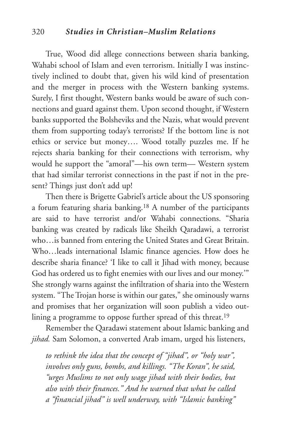#### 320 *Studies in Christian–Muslim Relations*

True, Wood did allege connections between sharia banking, Wahabi school of Islam and even terrorism. Initially I was instinctively inclined to doubt that, given his wild kind of presentation and the merger in process with the Western banking systems. Surely, I first thought, Western banks would be aware of such connections and guard against them. Upon second thought, if Western banks supported the Bolsheviks and the Nazis, what would prevent them from supporting today's terrorists? If the bottom line is not ethics or service but money…. Wood totally puzzles me. If he rejects sharia banking for their connections with terrorism, why would he support the "amoral"—his own term— Western system that had similar terrorist connections in the past if not in the present? Things just don't add up!

Then there is Brigette Gabriel's article about the US sponsoring a forum featuring sharia banking.18 A number of the participants are said to have terrorist and/or Wahabi connections. "Sharia banking was created by radicals like Sheikh Qaradawi, a terrorist who…is banned from entering the United States and Great Britain. Who…leads international Islamic finance agencies. How does he describe sharia finance? 'I like to call it Jihad with money, because God has ordered us to fight enemies with our lives and our money.'" She strongly warns against the infiltration of sharia into the Western system. "The Trojan horse is within our gates," she ominously warns and promises that her organization will soon publish a video outlining a programme to oppose further spread of this threat.<sup>19</sup>

Remember the Qaradawi statement about Islamic banking and *jihad.* Sam Solomon, a converted Arab imam, urged his listeners,

*to rethink the idea that the concept of "jihad", or "holy war", involves only guns, bombs, and killings. "The Koran", he said, "urges Muslims to not only wage jihad with their bodies, but also with their finances." And he warned that what he called a "financial jihad" is well underway, with "Islamic banking"*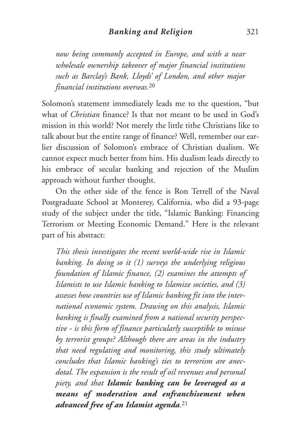*now being commonly accepted in Europe, and with a near wholesale ownership takeover of major financial institutions such as Barclay's Bank, Lloyds' of London, and other major financial institutions overseas.*<sup>20</sup>

Solomon's statement immediately leads me to the question, "but what of *Christian* finance? Is that not meant to be used in God's mission in this world? Not merely the little tithe Christians like to talk about but the entire range of finance? Well, remember our earlier discussion of Solomon's embrace of Christian dualism. We cannot expect much better from him. His dualism leads directly to his embrace of secular banking and rejection of the Muslim approach without further thought.

On the other side of the fence is Ron Terrell of the Naval Postgraduate School at Monterey, California, who did a 93-page study of the subject under the title, "Islamic Banking: Financing Terrorism or Meeting Economic Demand." Here is the relevant part of his abstract:

*This thesis investigates the recent world-wide rise in Islamic banking. In doing so it (1) surveys the underlying religious foundation of Islamic finance, (2) examines the attempts of Islamists to use Islamic banking to Islamize societies, and (3) assesses how countries use of Islamic banking fit into the international economic system. Drawing on this analysis, Islamic banking is finally examined from a national security perspective - is this form of finance particularly susceptible to misuse by terrorist groups? Although there are areas in the industry that need regulating and monitoring, this study ultimately concludes that Islamic banking's ties to terrorism are anecdotal. The expansion is the result of oil revenues and personal piety, and that Islamic banking can be leveraged as a means of moderation and enfranchisement when advanced free of an Islamist agenda.*<sup>21</sup>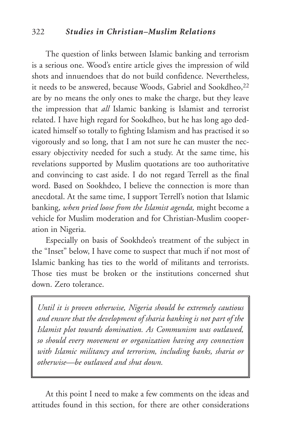#### 322 *Studies in Christian–Muslim Relations*

The question of links between Islamic banking and terrorism is a serious one. Wood's entire article gives the impression of wild shots and innuendoes that do not build confidence. Nevertheless, it needs to be answered, because Woods, Gabriel and Sookdheo,<sup>22</sup> are by no means the only ones to make the charge, but they leave the impression that *all* Islamic banking is Islamist and terrorist related. I have high regard for Sookdheo, but he has long ago dedicated himself so totally to fighting Islamism and has practised it so vigorously and so long, that I am not sure he can muster the necessary objectivity needed for such a study. At the same time, his revelations supported by Muslim quotations are too authoritative and convincing to cast aside. I do not regard Terrell as the final word. Based on Sookhdeo, I believe the connection is more than anecdotal. At the same time, I support Terrell's notion that Islamic banking, *when pried loose from the Islamist agenda,* might become a vehicle for Muslim moderation and for Christian-Muslim cooperation in Nigeria.

Especially on basis of Sookhdeo's treatment of the subject in the "Inset" below, I have come to suspect that much if not most of Islamic banking has ties to the world of militants and terrorists. Those ties must be broken or the institutions concerned shut down. Zero tolerance.

*Until it is proven otherwise, Nigeria should be extremely cautious and ensure that the development of sharia banking is not part of the Islamist plot towards domination. As Communism was outlawed, so should every movement or organization having any connection with Islamic militancy and terrorism, including banks, sharia or otherwise—be outlawed and shut down.*

At this point I need to make a few comments on the ideas and attitudes found in this section, for there are other considerations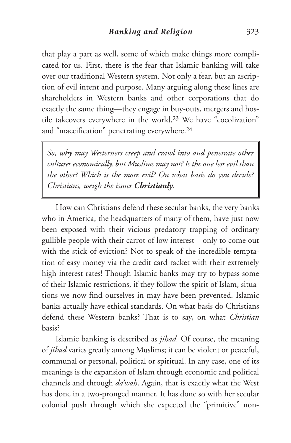that play a part as well, some of which make things more complicated for us. First, there is the fear that Islamic banking will take over our traditional Western system. Not only a fear, but an ascription of evil intent and purpose. Many arguing along these lines are shareholders in Western banks and other corporations that do exactly the same thing—they engage in buy-outs, mergers and hostile takeovers everywhere in the world.23 We have "cocolization" and "maccification" penetrating everywhere.24

*So, why may Westerners creep and crawl into and penetrate other cultures economically, but Muslims may not? Is the one less evil than the other? Which is the more evil? On what basis do you decide? Christians, weigh the issues Christianly.*

How can Christians defend these secular banks, the very banks who in America, the headquarters of many of them, have just now been exposed with their vicious predatory trapping of ordinary gullible people with their carrot of low interest—only to come out with the stick of eviction? Not to speak of the incredible temptation of easy money via the credit card racket with their extremely high interest rates! Though Islamic banks may try to bypass some of their Islamic restrictions, if they follow the spirit of Islam, situations we now find ourselves in may have been prevented. Islamic banks actually have ethical standards. On what basis do Christians defend these Western banks? That is to say, on what *Christian* basis?

Islamic banking is described as *jihad.* Of course, the meaning of *jihad* varies greatly among Muslims; it can be violent or peaceful, communal or personal, political or spiritual. In any case, one of its meanings is the expansion of Islam through economic and political channels and through *da'wah*. Again, that is exactly what the West has done in a two-pronged manner. It has done so with her secular colonial push through which she expected the "primitive" non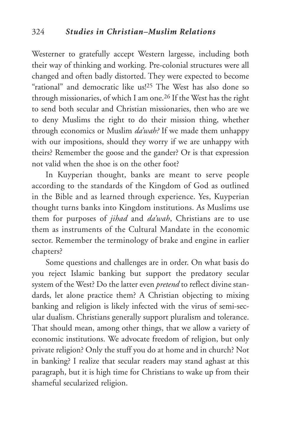Westerner to gratefully accept Western largesse, including both their way of thinking and working. Pre-colonial structures were all changed and often badly distorted. They were expected to become "rational" and democratic like us!<sup>25</sup> The West has also done so through missionaries, of which I am one.26 If the West has the right to send both secular and Christian missionaries, then who are we to deny Muslims the right to do their mission thing, whether through economics or Muslim *da'wah?* If we made them unhappy with our impositions, should they worry if we are unhappy with theirs? Remember the goose and the gander? Or is that expression not valid when the shoe is on the other foot?

In Kuyperian thought, banks are meant to serve people according to the standards of the Kingdom of God as outlined in the Bible and as learned through experience. Yes, Kuyperian thought turns banks into Kingdom institutions. As Muslims use them for purposes of *jihad* and *da'wah*, Christians are to use them as instruments of the Cultural Mandate in the economic sector. Remember the terminology of brake and engine in earlier chapters?

Some questions and challenges are in order. On what basis do you reject Islamic banking but support the predatory secular system of the West? Do the latter even *pretend* to reflect divine standards, let alone practice them? A Christian objecting to mixing banking and religion is likely infected with the virus of semi-secular dualism. Christians generally support pluralism and tolerance. That should mean, among other things, that we allow a variety of economic institutions. We advocate freedom of religion, but only private religion? Only the stuff you do at home and in church? Not in banking? I realize that secular readers may stand aghast at this paragraph, but it is high time for Christians to wake up from their shameful secularized religion.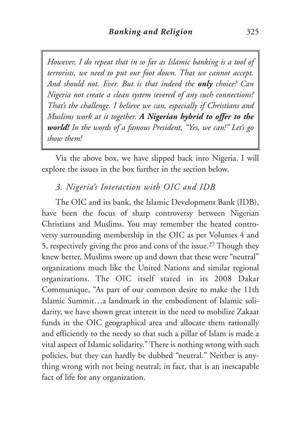*However, I do repeat that in so far as Islamic banking is a tool of terrorists, we need to put our foot down. That we cannot accept. And should not. Ever. But is that indeed the only choice? Can Nigeria not create a clean system severed of any such connections? That's the challenge. I believe we can, especially if Christians and Muslims work at it together. A Nigerian hybrid to offer to the world! In the words of a famous President, "Yes, we can!" Let's go show them!*

Via the above box, we have slipped back into Nigeria. I will explore the issues in the box further in the section below.

### *3. Nigeria's Interaction with OIC and IDB*

The OIC and its bank, the Islamic Development Bank (IDB), have been the focus of sharp controversy between Nigerian Christians and Muslims. You may remember the heated controversy surrounding membership in the OIC as per Volumes 4 and 5, respectively giving the pros and cons of the issue.27 Though they knew better, Muslims swore up and down that these were "neutral" organizations much like the United Nations and similar regional organizations. The OIC itself stated in its 2008 Dakar Communique, "As part of our common desire to make the 11th Islamic Summit…a landmark in the embodiment of Islamic solidarity, we have shown great interest in the need to mobilize Zakaat funds in the OIC geographical area and allocate them rationally and efficiently to the needy so that such a pillar of Islam is made a vital aspect of Islamic solidarity." There is nothing wrong with such policies, but they can hardly be dubbed "neutral." Neither is anything wrong with not being neutral; in fact, that is an inescapable fact of life for any organization.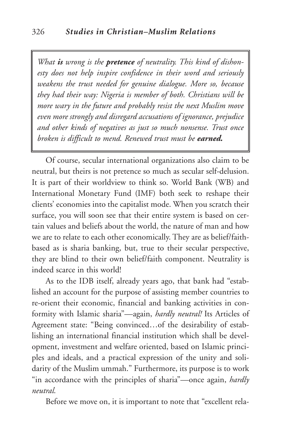*What is wrong is the pretence of neutrality. This kind of dishonesty does not help inspire confidence in their word and seriously weakens the trust needed for genuine dialogue. More so, because they had their way: Nigeria is member of both. Christians will be more wary in the future and probably resist the next Muslim move even more strongly and disregard accusations of ignorance, prejudice and other kinds of negatives as just so much nonsense. Trust once broken is difficult to mend. Renewed trust must be earned.*

Of course, secular international organizations also claim to be neutral, but theirs is not pretence so much as secular self-delusion. It is part of their worldview to think so. World Bank (WB) and International Monetary Fund (IMF) both seek to reshape their clients' economies into the capitalist mode. When you scratch their surface, you will soon see that their entire system is based on certain values and beliefs about the world, the nature of man and how we are to relate to each other economically. They are as belief/faithbased as is sharia banking, but, true to their secular perspective, they are blind to their own belief/faith component. Neutrality is indeed scarce in this world!

As to the IDB itself, already years ago, that bank had "established an account for the purpose of assisting member countries to re-orient their economic, financial and banking activities in conformity with Islamic sharia"—again, *hardly neutral!* Its Articles of Agreement state: "Being convinced…of the desirability of establishing an international financial institution which shall be development, investment and welfare oriented, based on Islamic principles and ideals, and a practical expression of the unity and solidarity of the Muslim ummah." Furthermore, its purpose is to work "in accordance with the principles of sharia"—once again, *hardly neutral.*

Before we move on, it is important to note that "excellent rela-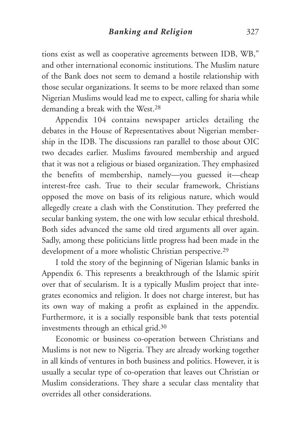tions exist as well as cooperative agreements between IDB, WB," and other international economic institutions. The Muslim nature of the Bank does not seem to demand a hostile relationship with those secular organizations. It seems to be more relaxed than some Nigerian Muslims would lead me to expect, calling for sharia while demanding a break with the West.28

Appendix 104 contains newspaper articles detailing the debates in the House of Representatives about Nigerian membership in the IDB. The discussions ran parallel to those about OIC two decades earlier. Muslims favoured membership and argued that it was not a religious or biased organization. They emphasized the benefits of membership, namely—you guessed it—cheap interest-free cash. True to their secular framework, Christians opposed the move on basis of its religious nature, which would allegedly create a clash with the Constitution. They preferred the secular banking system, the one with low secular ethical threshold. Both sides advanced the same old tired arguments all over again. Sadly, among these politicians little progress had been made in the development of a more wholistic Christian perspective.<sup>29</sup>

I told the story of the beginning of Nigerian Islamic banks in Appendix 6. This represents a breakthrough of the Islamic spirit over that of secularism. It is a typically Muslim project that integrates economics and religion. It does not charge interest, but has its own way of making a profit as explained in the appendix. Furthermore, it is a socially responsible bank that tests potential investments through an ethical grid.30

Economic or business co-operation between Christians and Muslims is not new to Nigeria. They are already working together in all kinds of ventures in both business and politics. However, it is usually a secular type of co-operation that leaves out Christian or Muslim considerations. They share a secular class mentality that overrides all other considerations.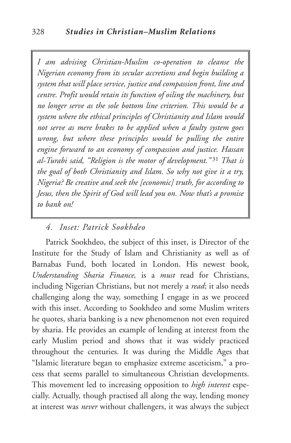*I am advising Christian-Muslim co-operation to cleanse the Nigerian economy from its secular accretions and begin building a system that will place service, justice and compassion front, line and centre. Profit would retain its function of oiling the machinery, but no longer serve as the sole bottom line criterion. This would be a system where the ethical principles of Christianity and Islam would not serve as mere brakes to be applied when a faulty system goes wrong, but where these principles would be pulling the entire engine forward to an economy of compassion and justice. Hassan al-Turabi said, "Religion is the motor of development."* <sup>31</sup> *That is the goal of both Christianity and Islam. So why not give it a try, Nigeria? Be creative and seek the [economic] truth, for according to Jesus, then the Spirit of God will lead you on. Now that's a promise to bank on!*

## *4. Inset: Patrick Sookhdeo*

Patrick Sookhdeo, the subject of this inset, is Director of the Institute for the Study of Islam and Christianity as well as of Barnabas Fund, both located in London. His newest book, *Understanding Sharia Finance,* is a *must* read for Christians, including Nigerian Christians, but not merely a *read*; it also needs challenging along the way, something I engage in as we proceed with this inset. According to Sookhdeo and some Muslim writers he quotes, sharia banking is a new phenomenon not even required by sharia. He provides an example of lending at interest from the early Muslim period and shows that it was widely practiced throughout the centuries. It was during the Middle Ages that "Islamic literature began to emphasize extreme asceticism," a process that seems parallel to simultaneous Christian developments. This movement led to increasing opposition to *high interest* especially. Actually, though practised all along the way, lending money at interest was *never* without challengers, it was always the subject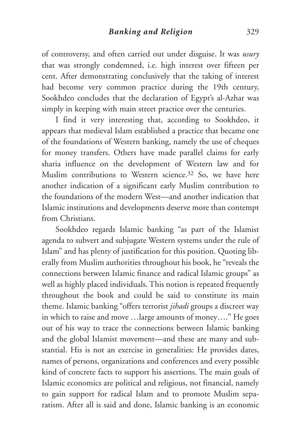of controversy, and often carried out under disguise. It was *usury* that was strongly condemned, i.e. high interest over fifteen per cent. After demonstrating conclusively that the taking of interest had become very common practice during the 19th century, Sookhdeo concludes that the declaration of Egypt's al-Azhar was simply in keeping with main street practice over the centuries.

I find it very interesting that, according to Sookhdeo, it appears that medieval Islam established a practice that became one of the foundations of Western banking, namely the use of cheques for money transfers. Others have made parallel claims for early sharia influence on the development of Western law and for Muslim contributions to Western science.<sup>32</sup> So, we have here another indication of a significant early Muslim contribution to the foundations of the modern West—and another indication that Islamic institutions and developments deserve more than contempt from Christians.

Sookhdeo regards Islamic banking "as part of the Islamist agenda to subvert and subjugate Western systems under the rule of Islam" and has plenty of justification for this position. Quoting liberally from Muslim authorities throughout his book, he "reveals the connections between Islamic finance and radical Islamic groups" as well as highly placed individuals. This notion is repeated frequently throughout the book and could be said to constitute its main theme. Islamic banking "offers terrorist *jihadi* groups a discreet way in which to raise and move …large amounts of money…." He goes out of his way to trace the connections between Islamic banking and the global Islamist movement—and these are many and substantial. His is not an exercise in generalities: He provides dates, names of persons, organizations and conferences and every possible kind of concrete facts to support his assertions. The main goals of Islamic economics are political and religious, not financial, namely to gain support for radical Islam and to promote Muslim separatism. After all is said and done, Islamic banking is an economic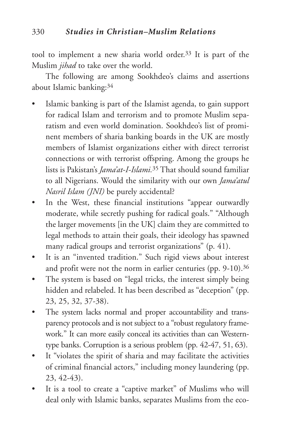tool to implement a new sharia world order.33 It is part of the Muslim *jihad* to take over the world.

The following are among Sookhdeo's claims and assertions about Islamic banking:34

- Islamic banking is part of the Islamist agenda, to gain support for radical Islam and terrorism and to promote Muslim separatism and even world domination. Sookhdeo's list of prominent members of sharia banking boards in the UK are mostly members of Islamist organizations either with direct terrorist connections or with terrorist offspring. Among the groups he lists is Pakistan's *Jama'at-I-Islami.*<sup>35</sup> That should sound familiar to all Nigerians. Would the similarity with our own *Jama'atul Nasril Islam (JNI)* be purely accidental?
- In the West, these financial institutions "appear outwardly moderate, while secretly pushing for radical goals." "Although the larger movements [in the UK] claim they are committed to legal methods to attain their goals, their ideology has spawned many radical groups and terrorist organizations" (p. 41).
- It is an "invented tradition." Such rigid views about interest and profit were not the norm in earlier centuries (pp. 9-10).<sup>36</sup>
- The system is based on "legal tricks, the interest simply being hidden and relabeled. It has been described as "deception" (pp. 23, 25, 32, 37-38).
- The system lacks normal and proper accountability and transparency protocols and is not subject to a "robust regulatory framework." It can more easily conceal its activities than can Westerntype banks. Corruption is a serious problem (pp. 42-47, 51, 63).
- It "violates the spirit of sharia and may facilitate the activities of criminal financial actors," including money laundering (pp. 23, 42-43).
- It is a tool to create a "captive market" of Muslims who will deal only with Islamic banks, separates Muslims from the eco-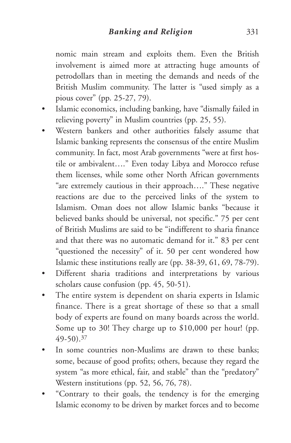nomic main stream and exploits them. Even the British involvement is aimed more at attracting huge amounts of petrodollars than in meeting the demands and needs of the British Muslim community. The latter is "used simply as a pious cover" (pp. 25-27, 79).

- Islamic economics, including banking, have "dismally failed in relieving poverty" in Muslim countries (pp. 25, 55).
- Western bankers and other authorities falsely assume that Islamic banking represents the consensus of the entire Muslim community. In fact, most Arab governments "were at first hostile or ambivalent…." Even today Libya and Morocco refuse them licenses, while some other North African governments "are extremely cautious in their approach…." These negative reactions are due to the perceived links of the system to Islamism. Oman does not allow Islamic banks "because it believed banks should be universal, not specific." 75 per cent of British Muslims are said to be "indifferent to sharia finance and that there was no automatic demand for it." 83 per cent "questioned the necessity" of it. 50 per cent wondered how Islamic these institutions really are (pp. 38-39, 61, 69, 78-79).
- Different sharia traditions and interpretations by various scholars cause confusion (pp. 45, 50-51).
- The entire system is dependent on sharia experts in Islamic finance. There is a great shortage of these so that a small body of experts are found on many boards across the world. Some up to 30! They charge up to \$10,000 per hour! (pp. 49-50).37
- In some countries non-Muslims are drawn to these banks: some, because of good profits; others, because they regard the system "as more ethical, fair, and stable" than the "predatory" Western institutions (pp. 52, 56, 76, 78).
- "Contrary to their goals, the tendency is for the emerging Islamic economy to be driven by market forces and to become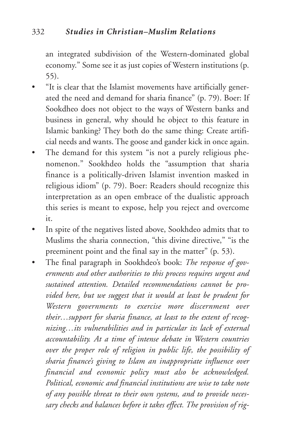an integrated subdivision of the Western-dominated global economy." Some see it as just copies of Western institutions (p. 55).

- "It is clear that the Islamist movements have artificially generated the need and demand for sharia finance" (p. 79). Boer: If Sookdheo does not object to the ways of Western banks and business in general, why should he object to this feature in Islamic banking? They both do the same thing: Create artificial needs and wants. The goose and gander kick in once again.
- The demand for this system "is not a purely religious phenomenon." Sookhdeo holds the "assumption that sharia finance is a politically-driven Islamist invention masked in religious idiom" (p. 79). Boer: Readers should recognize this interpretation as an open embrace of the dualistic approach this series is meant to expose, help you reject and overcome it.
- In spite of the negatives listed above, Sookhdeo admits that to Muslims the sharia connection, "this divine directive," "is the preeminent point and the final say in the matter" (p. 53).
- The final paragraph in Sookhdeo's book: *The response of governments and other authorities to this process requires urgent and sustained attention. Detailed recommendations cannot be provided here, but we suggest that it would at least be prudent for Western governments to exercise more discernment over their…support for sharia finance, at least to the extent of recognizing…its vulnerabilities and in particular its lack of external accountability. At a time of intense debate in Western countries over the proper role of religion in public life, the possibility of sharia finance's giving to Islam an inappropriate influence over financial and economic policy must also be acknowledged. Political, economic and financial institutions are wise to take note of any possible threat to their own systems, and to provide necessary checks and balances before it takes effect. The provision of rig-*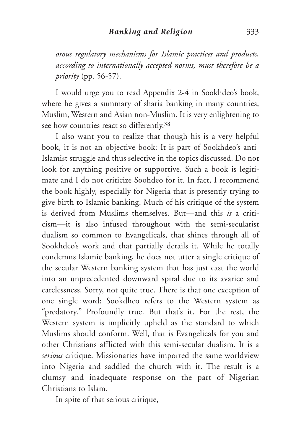*orous regulatory mechanisms for Islamic practices and products, according to internationally accepted norms, must therefore be a priority* (pp. 56-57).

I would urge you to read Appendix 2-4 in Sookhdeo's book, where he gives a summary of sharia banking in many countries, Muslim, Western and Asian non-Muslim. It is very enlightening to see how countries react so differently.38

I also want you to realize that though his is a very helpful book, it is not an objective book: It is part of Sookhdeo's anti-Islamist struggle and thus selective in the topics discussed. Do not look for anything positive or supportive. Such a book is legitimate and I do not criticize Soohdeo for it. In fact, I recommend the book highly, especially for Nigeria that is presently trying to give birth to Islamic banking. Much of his critique of the system is derived from Muslims themselves. But—and this *is* a criticism—it is also infused throughout with the semi-secularist dualism so common to Evangelicals, that shines through all of Sookhdeo's work and that partially derails it. While he totally condemns Islamic banking, he does not utter a single critique of the secular Western banking system that has just cast the world into an unprecedented downward spiral due to its avarice and carelessness. Sorry, not quite true. There is that one exception of one single word: Sookdheo refers to the Western system as "predatory." Profoundly true. But that's it. For the rest, the Western system is implicitly upheld as the standard to which Muslims should conform. Well, that is Evangelicals for you and other Christians afflicted with this semi-secular dualism. It is a *serious* critique. Missionaries have imported the same worldview into Nigeria and saddled the church with it. The result is a clumsy and inadequate response on the part of Nigerian Christians to Islam.

In spite of that serious critique,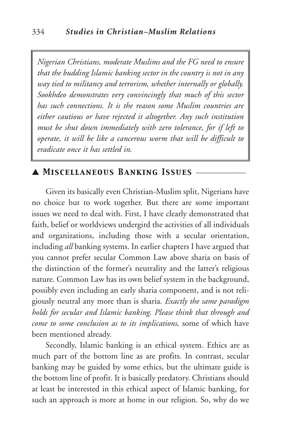*Nigerian Christians, moderate Muslims and the FG need to ensure that the budding Islamic banking sector in the country is not in any way tied to militancy and terrorism, whether internally or globally. Sookhdeo demonstrates very convincingly that much of this sector has such connections. It is the reason some Muslim countries are either cautious or have rejected it altogether. Any such institution must be shut down immediately with zero tolerance, for if left to operate, it will be like a cancerous worm that will be difficult to eradicate once it has settled in.*

## ▲ *Miscellaneous Banking Issues* \_\_\_\_\_\_\_\_\_\_\_\_\_

Given its basically even Christian-Muslim split, Nigerians have no choice but to work together. But there are some important issues we need to deal with. First, I have clearly demonstrated that faith, belief or worldviews undergird the activities of all individuals and organizations, including those with a secular orientation, including *all* banking systems. In earlier chapters I have argued that you cannot prefer secular Common Law above sharia on basis of the distinction of the former's neutrality and the latter's religious nature. Common Law has its own belief system in the background, possibly even including an early sharia component, and is not religiously neutral any more than is sharia*. Exactly the same paradigm holds for secular and Islamic banking. Please think that through and come to some conclusion as to its implications,* some of which have been mentioned already.

Secondly, Islamic banking is an ethical system. Ethics are as much part of the bottom line as are profits. In contrast, secular banking may be guided by some ethics, but the ultimate guide is the bottom line of profit. It is basically predatory. Christians should at least be interested in this ethical aspect of Islamic banking, for such an approach is more at home in our religion. So, why do we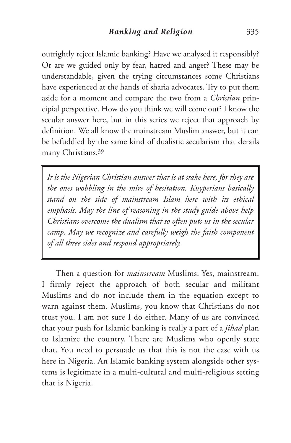outrightly reject Islamic banking? Have we analysed it responsibly? Or are we guided only by fear, hatred and anger? These may be understandable, given the trying circumstances some Christians have experienced at the hands of sharia advocates. Try to put them aside for a moment and compare the two from a *Christian* principial perspective. How do you think we will come out? I know the secular answer here, but in this series we reject that approach by definition. We all know the mainstream Muslim answer, but it can be befuddled by the same kind of dualistic secularism that derails many Christians.39

*It is the Nigerian Christian answer that is at stake here, for they are the ones wobbling in the mire of hesitation. Kuyperians basically stand on the side of mainstream Islam here with its ethical emphasis. May the line of reasoning in the study guide above help Christians overcome the dualism that so often puts us in the secular camp. May we recognize and carefully weigh the faith component of all three sides and respond appropriately.*

Then a question for *mainstream* Muslims. Yes, mainstream. I firmly reject the approach of both secular and militant Muslims and do not include them in the equation except to warn against them. Muslims, you know that Christians do not trust you. I am not sure I do either. Many of us are convinced that your push for Islamic banking is really a part of a *jihad* plan to Islamize the country. There are Muslims who openly state that. You need to persuade us that this is not the case with us here in Nigeria. An Islamic banking system alongside other systems is legitimate in a multi-cultural and multi-religious setting that is Nigeria.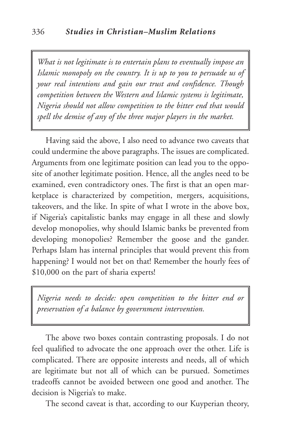*What is not legitimate is to entertain plans to eventually impose an Islamic monopoly on the country. It is up to you to persuade us of your real intentions and gain our trust and confidence. Though competition between the Western and Islamic systems is legitimate, Nigeria should not allow competition to the bitter end that would spell the demise of any of the three major players in the market.*

Having said the above, I also need to advance two caveats that could undermine the above paragraphs. The issues are complicated. Arguments from one legitimate position can lead you to the opposite of another legitimate position. Hence, all the angles need to be examined, even contradictory ones. The first is that an open marketplace is characterized by competition, mergers, acquisitions, takeovers, and the like. In spite of what I wrote in the above box, if Nigeria's capitalistic banks may engage in all these and slowly develop monopolies, why should Islamic banks be prevented from developing monopolies? Remember the goose and the gander. Perhaps Islam has internal principles that would prevent this from happening? I would not bet on that! Remember the hourly fees of \$10,000 on the part of sharia experts!

*Nigeria needs to decide: open competition to the bitter end or preservation of a balance by government intervention.*

The above two boxes contain contrasting proposals. I do not feel qualified to advocate the one approach over the other. Life is complicated. There are opposite interests and needs, all of which are legitimate but not all of which can be pursued. Sometimes tradeoffs cannot be avoided between one good and another. The decision is Nigeria's to make.

The second caveat is that, according to our Kuyperian theory,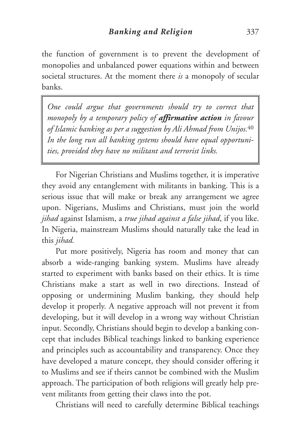the function of government is to prevent the development of monopolies and unbalanced power equations within and between societal structures. At the moment there *is* a monopoly of secular banks.

*One could argue that governments should try to correct that monopoly by a temporary policy of affirmative action in favour of Islamic banking as per a suggestion by Ali Ahmad from Unijos.*<sup>40</sup> *In the long run all banking systems should have equal opportunities, provided they have no militant and terrorist links.*

For Nigerian Christians and Muslims together, it is imperative they avoid any entanglement with militants in banking. This is a serious issue that will make or break any arrangement we agree upon. Nigerians, Muslims and Christians, must join the world *jihad* against Islamism, a *true jihad against a false jihad*, if you like. In Nigeria, mainstream Muslims should naturally take the lead in this *jihad.*

Put more positively, Nigeria has room and money that can absorb a wide-ranging banking system. Muslims have already started to experiment with banks based on their ethics. It is time Christians make a start as well in two directions. Instead of opposing or undermining Muslim banking, they should help develop it properly. A negative approach will not prevent it from developing, but it will develop in a wrong way without Christian input. Secondly, Christians should begin to develop a banking concept that includes Biblical teachings linked to banking experience and principles such as accountability and transparency. Once they have developed a mature concept, they should consider offering it to Muslims and see if theirs cannot be combined with the Muslim approach. The participation of both religions will greatly help prevent militants from getting their claws into the pot.

Christians will need to carefully determine Biblical teachings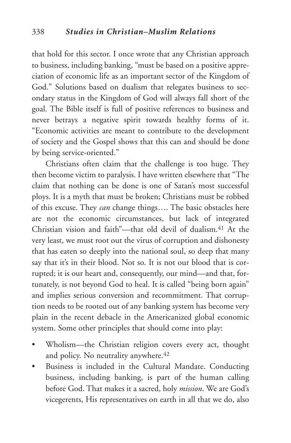that hold for this sector. I once wrote that any Christian approach to business, including banking, "must be based on a positive appreciation of economic life as an important sector of the Kingdom of God." Solutions based on dualism that relegates business to secondary status in the Kingdom of God will always fall short of the goal. The Bible itself is full of positive references to business and never betrays a negative spirit towards healthy forms of it. "Economic activities are meant to contribute to the development of society and the Gospel shows that this can and should be done by being service-oriented."

Christians often claim that the challenge is too huge. They then become victim to paralysis. I have written elsewhere that "The claim that nothing can be done is one of Satan's most successful ploys. It is a myth that must be broken; Christians must be robbed of this excuse. They *can* change things…. The basic obstacles here are not the economic circumstances, but lack of integrated Christian vision and faith"—that old devil of dualism.41 At the very least, we must root out the virus of corruption and dishonesty that has eaten so deeply into the national soul, so deep that many say that it's in their blood. Not so. It is not our blood that is corrupted; it is our heart and, consequently, our mind—and that, fortunately, is not beyond God to heal. It is called "being born again" and implies serious conversion and recommitment. That corruption needs to be rooted out of any banking system has become very plain in the recent debacle in the Americanized global economic system. Some other principles that should come into play:

- Wholism—the Christian religion covers every act, thought and policy. No neutrality anywhere.<sup>42</sup>
- Business is included in the Cultural Mandate. Conducting business, including banking, is part of the human calling before God. That makes it a sacred, holy *mission*. We are God's vicegerents, His representatives on earth in all that we do, also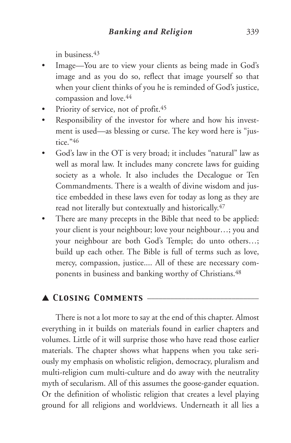in business.43

- Image—You are to view your clients as being made in God's image and as you do so, reflect that image yourself so that when your client thinks of you he is reminded of God's justice, compassion and love.44
- Priority of service, not of profit.<sup>45</sup>
- Responsibility of the investor for where and how his investment is used—as blessing or curse. The key word here is "justice."46
- God's law in the OT is very broad; it includes "natural" law as well as moral law. It includes many concrete laws for guiding society as a whole. It also includes the Decalogue or Ten Commandments. There is a wealth of divine wisdom and justice embedded in these laws even for today as long as they are read not literally but contextually and historically.47
- There are many precepts in the Bible that need to be applied: your client is your neighbour; love your neighbour…; you and your neighbour are both God's Temple; do unto others…; build up each other. The Bible is full of terms such as love, mercy, compassion, justice.... All of these are necessary components in business and banking worthy of Christians.<sup>48</sup>

# ▲ *Closing Comments* \_\_\_\_\_\_\_\_\_\_\_\_\_\_\_\_\_\_\_\_\_\_\_\_\_\_\_\_\_

There is not a lot more to say at the end of this chapter. Almost everything in it builds on materials found in earlier chapters and volumes. Little of it will surprise those who have read those earlier materials. The chapter shows what happens when you take seriously my emphasis on wholistic religion, democracy, pluralism and multi-religion cum multi-culture and do away with the neutrality myth of secularism. All of this assumes the goose-gander equation. Or the definition of wholistic religion that creates a level playing ground for all religions and worldviews. Underneath it all lies a